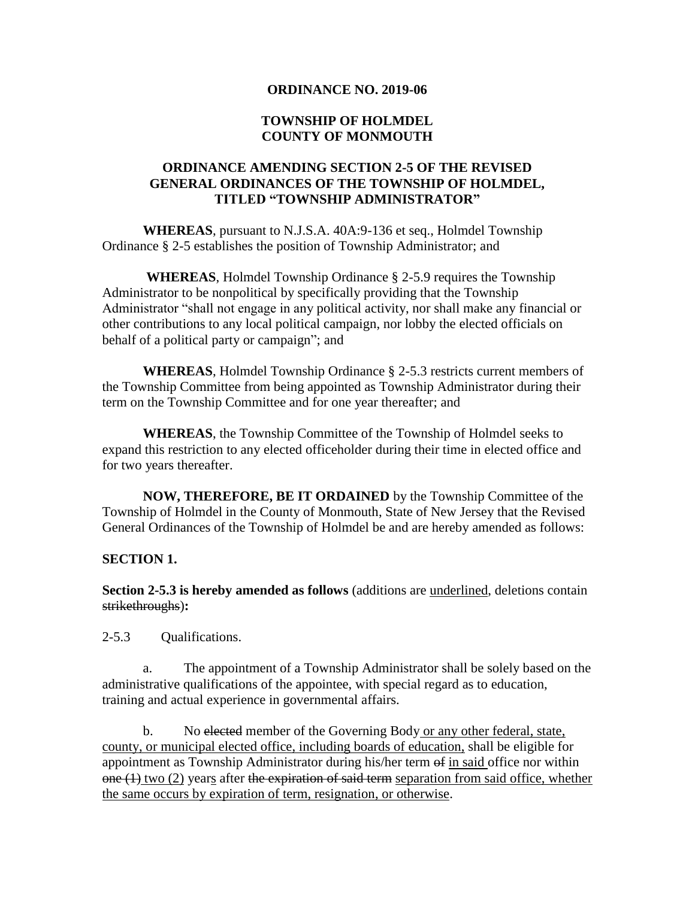#### **ORDINANCE NO. 2019-06**

### **TOWNSHIP OF HOLMDEL COUNTY OF MONMOUTH**

## **ORDINANCE AMENDING SECTION 2-5 OF THE REVISED GENERAL ORDINANCES OF THE TOWNSHIP OF HOLMDEL, TITLED "TOWNSHIP ADMINISTRATOR"**

**WHEREAS**, pursuant to N.J.S.A. 40A:9-136 et seq., Holmdel Township Ordinance § 2-5 establishes the position of Township Administrator; and

**WHEREAS**, Holmdel Township Ordinance § 2-5.9 requires the Township Administrator to be nonpolitical by specifically providing that the Township Administrator "shall not engage in any political activity, nor shall make any financial or other contributions to any local political campaign, nor lobby the elected officials on behalf of a political party or campaign"; and

**WHEREAS**, Holmdel Township Ordinance § 2-5.3 restricts current members of the Township Committee from being appointed as Township Administrator during their term on the Township Committee and for one year thereafter; and

**WHEREAS**, the Township Committee of the Township of Holmdel seeks to expand this restriction to any elected officeholder during their time in elected office and for two years thereafter.

**NOW, THEREFORE, BE IT ORDAINED** by the Township Committee of the Township of Holmdel in the County of Monmouth, State of New Jersey that the Revised General Ordinances of the Township of Holmdel be and are hereby amended as follows:

#### **SECTION 1.**

**Section 2-5.3 is hereby amended as follows** (additions are underlined, deletions contain strikethroughs)**:**

2-5.3 Qualifications.

a. The appointment of a Township Administrator shall be solely based on the administrative qualifications of the appointee, with special regard as to education, training and actual experience in governmental affairs.

b. No elected member of the Governing Body or any other federal, state, county, or municipal elected office, including boards of education, shall be eligible for appointment as Township Administrator during his/her term of in said office nor within  $one (1)$  two (2) years after the expiration of said term separation from said office, whether the same occurs by expiration of term, resignation, or otherwise.